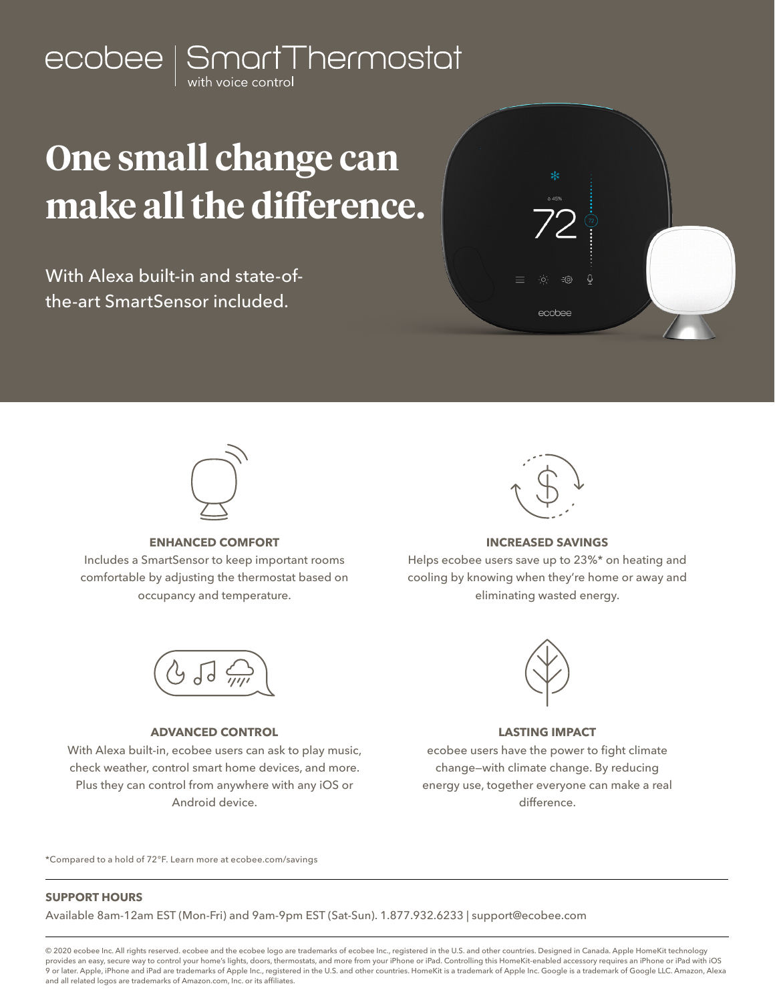## $\mid$  SmartThermostat ecobee

# **One small change can make all the difference.**

With Alexa built-in and state-ofthe-art SmartSensor included.





#### **ENHANCED COMFORT**

Includes a SmartSensor to keep important rooms comfortable by adjusting the thermostat based on occupancy and temperature.



#### **INCREASED SAVINGS**

Helps ecobee users save up to 23%\* on heating and cooling by knowing when they're home or away and eliminating wasted energy.



#### **ADVANCED CONTROL**

With Alexa built-in, ecobee users can ask to play music, check weather, control smart home devices, and more. Plus they can control from anywhere with any iOS or Android device.



#### **LASTING IMPACT**

ecobee users have the power to fight climate change—with climate change. By reducing energy use, together everyone can make a real difference.

\*Compared to a hold of 72°F. Learn more at ecobee.com/savings

#### **SUPPORT HOURS**

Available 8am-12am EST (Mon-Fri) and 9am-9pm EST (Sat-Sun). 1.877.932.6233 | support@ecobee.com

© 2020 ecobee Inc. All rights reserved. ecobee and the ecobee logo are trademarks of ecobee Inc., registered in the U.S. and other countries. Designed in Canada. Apple HomeKit technology provides an easy, secure way to control your home's lights, doors, thermostats, and more from your iPhone or iPad. Controlling this HomeKit-enabled accessory requires an iPhone or iPad with iOS 9 or later. Apple, iPhone and iPad are trademarks of Apple Inc., registered in the U.S. and other countries. HomeKit is a trademark of Apple Inc. Google is a trademark of Google LLC. Amazon, Alexa and all related logos are trademarks of Amazon.com, Inc. or its affiliates.